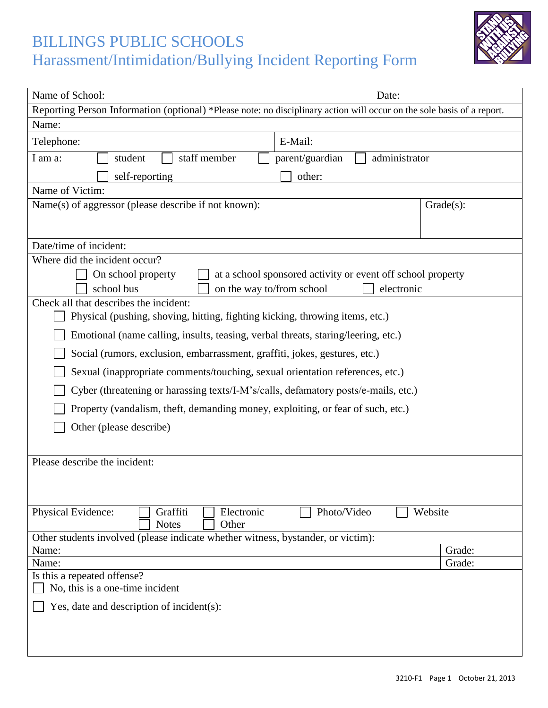## BILLINGS PUBLIC SCHOOLS Harassment/Intimidation/Bullying Incident Reporting Form



| Name of School:                                                                                                        | Date:                  |
|------------------------------------------------------------------------------------------------------------------------|------------------------|
| Reporting Person Information (optional) *Please note: no disciplinary action will occur on the sole basis of a report. |                        |
| Name:                                                                                                                  |                        |
| E-Mail:<br>Telephone:                                                                                                  |                        |
| staff member<br>parent/guardian<br>I am a:<br>student<br>administrator                                                 |                        |
| self-reporting<br>other:                                                                                               |                        |
| Name of Victim:                                                                                                        |                        |
| Name(s) of aggressor (please describe if not known):                                                                   | $Grade(s)$ :           |
|                                                                                                                        |                        |
|                                                                                                                        |                        |
| Date/time of incident:                                                                                                 |                        |
| Where did the incident occur?                                                                                          |                        |
| On school property<br>at a school sponsored activity or event off school property                                      |                        |
| school bus<br>on the way to/from school<br>electronic                                                                  |                        |
| Check all that describes the incident:                                                                                 |                        |
| Physical (pushing, shoving, hitting, fighting kicking, throwing items, etc.)                                           |                        |
| Emotional (name calling, insults, teasing, verbal threats, staring/leering, etc.)                                      |                        |
| Social (rumors, exclusion, embarrassment, graffiti, jokes, gestures, etc.)                                             |                        |
| Sexual (inappropriate comments/touching, sexual orientation references, etc.)                                          |                        |
| Cyber (threatening or harassing texts/I-M's/calls, defamatory posts/e-mails, etc.)                                     |                        |
| Property (vandalism, theft, demanding money, exploiting, or fear of such, etc.)                                        |                        |
| Other (please describe)                                                                                                |                        |
|                                                                                                                        |                        |
| Please describe the incident:                                                                                          |                        |
|                                                                                                                        |                        |
|                                                                                                                        |                        |
|                                                                                                                        |                        |
| Physical Evidence:<br>Graffiti<br>Electronic                                                                           | Photo/Video<br>Website |
| <b>Notes</b><br>Other                                                                                                  |                        |
| Other students involved (please indicate whether witness, bystander, or victim):                                       |                        |
| Name:<br>Name:                                                                                                         | Grade:<br>Grade:       |
| Is this a repeated offense?                                                                                            |                        |
| No, this is a one-time incident                                                                                        |                        |
|                                                                                                                        |                        |
| Yes, date and description of incident $(s)$ :                                                                          |                        |
|                                                                                                                        |                        |
|                                                                                                                        |                        |